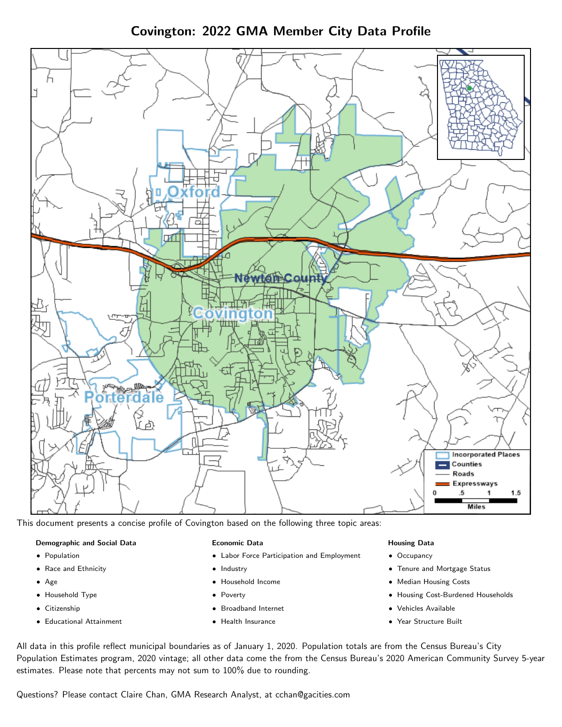Covington: 2022 GMA Member City Data Profile



This document presents a concise profile of Covington based on the following three topic areas:

### Demographic and Social Data

- **•** Population
- Race and Ethnicity
- Age
- Household Type
- **Citizenship**
- Educational Attainment

#### Economic Data

- Labor Force Participation and Employment
- Industry
- Household Income
- Poverty
- Broadband Internet
- Health Insurance

#### Housing Data

- Occupancy
- Tenure and Mortgage Status
- Median Housing Costs
- Housing Cost-Burdened Households
- Vehicles Available
- Year Structure Built

All data in this profile reflect municipal boundaries as of January 1, 2020. Population totals are from the Census Bureau's City Population Estimates program, 2020 vintage; all other data come the from the Census Bureau's 2020 American Community Survey 5-year estimates. Please note that percents may not sum to 100% due to rounding.

Questions? Please contact Claire Chan, GMA Research Analyst, at [cchan@gacities.com.](mailto:cchan@gacities.com)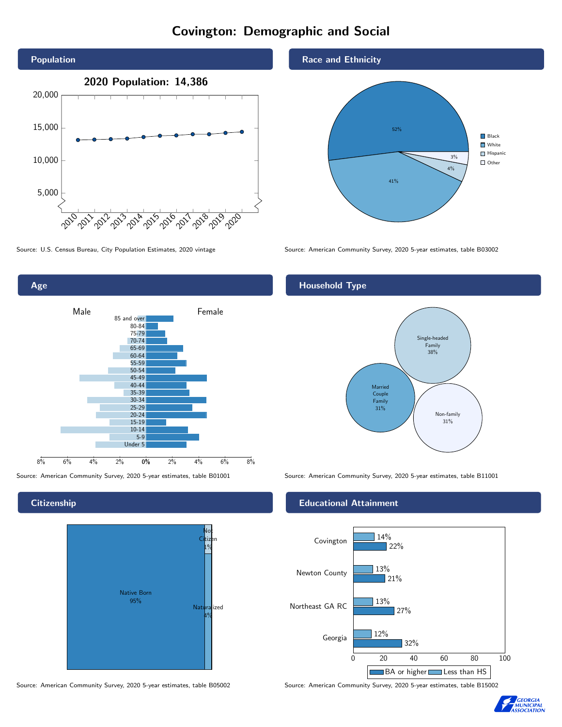# Covington: Demographic and Social





**Citizenship** 

Age



Source: American Community Survey, 2020 5-year estimates, table B05002 Source: American Community Survey, 2020 5-year estimates, table B15002





Source: U.S. Census Bureau, City Population Estimates, 2020 vintage Source: American Community Survey, 2020 5-year estimates, table B03002

## Household Type



Source: American Community Survey, 2020 5-year estimates, table B01001 Source: American Community Survey, 2020 5-year estimates, table B11001

### Educational Attainment



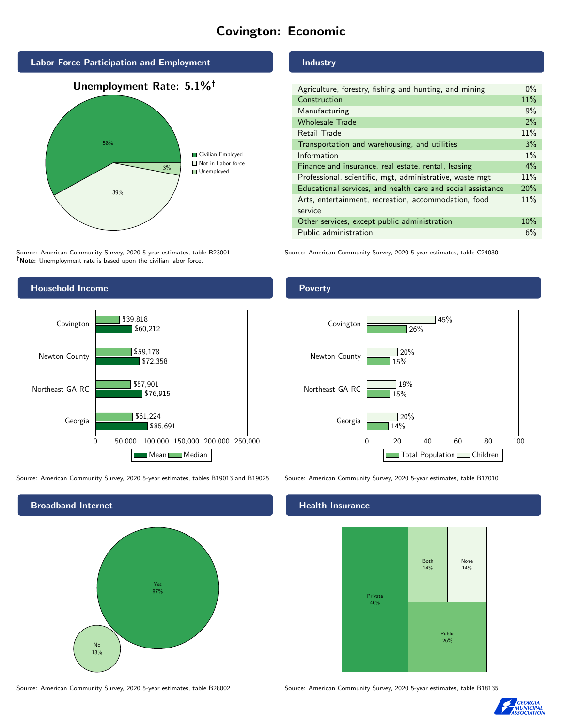# Covington: Economic



Source: American Community Survey, 2020 5-year estimates, table B23001 Note: Unemployment rate is based upon the civilian labor force.



Source: American Community Survey, 2020 5-year estimates, tables B19013 and B19025 Source: American Community Survey, 2020 5-year estimates, table B17010



Source: American Community Survey, 2020 5-year estimates, table B28002 Source: American Community Survey, 2020 5-year estimates, table B18135

## Industry

| Agriculture, forestry, fishing and hunting, and mining      | $0\%$ |
|-------------------------------------------------------------|-------|
| Construction                                                | 11%   |
| Manufacturing                                               | 9%    |
| <b>Wholesale Trade</b>                                      | 2%    |
| Retail Trade                                                | 11%   |
| Transportation and warehousing, and utilities               | 3%    |
| Information                                                 | $1\%$ |
| Finance and insurance, real estate, rental, leasing         | $4\%$ |
| Professional, scientific, mgt, administrative, waste mgt    | 11%   |
| Educational services, and health care and social assistance | 20%   |
| Arts, entertainment, recreation, accommodation, food        | 11%   |
| service                                                     |       |
| Other services, except public administration                | 10%   |
| Public administration                                       | 6%    |

Source: American Community Survey, 2020 5-year estimates, table C24030

## Poverty



#### Health Insurance